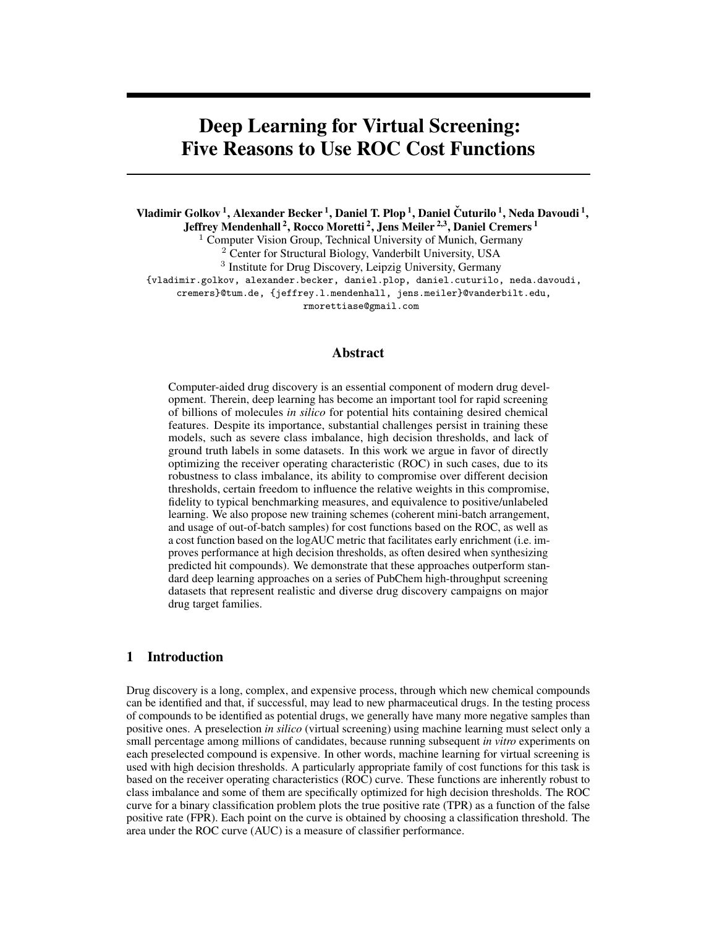# Deep Learning for Virtual Screening: Five Reasons to Use ROC Cost Functions

Vladimir Golkov <sup>1</sup>, Alexander Becker <sup>1</sup>, Daniel T. Plop <sup>1</sup>, Daniel Čuturilo <sup>1</sup>, Neda Davoudi <sup>1</sup>,

Jeffrey Mendenhall <sup>2</sup>, Rocco Moretti <sup>2</sup>, Jens Meiler <sup>2,3</sup>, Daniel Cremers <sup>1</sup>

<sup>1</sup> Computer Vision Group, Technical University of Munich, Germany

<sup>2</sup> Center for Structural Biology, Vanderbilt University, USA

<sup>3</sup> Institute for Drug Discovery, Leipzig University, Germany

{vladimir.golkov, alexander.becker, daniel.plop, daniel.cuturilo, neda.davoudi,

cremers}@tum.de, {jeffrey.l.mendenhall, jens.meiler}@vanderbilt.edu,

rmorettiase@gmail.com

## Abstract

Computer-aided drug discovery is an essential component of modern drug development. Therein, deep learning has become an important tool for rapid screening of billions of molecules *in silico* for potential hits containing desired chemical features. Despite its importance, substantial challenges persist in training these models, such as severe class imbalance, high decision thresholds, and lack of ground truth labels in some datasets. In this work we argue in favor of directly optimizing the receiver operating characteristic (ROC) in such cases, due to its robustness to class imbalance, its ability to compromise over different decision thresholds, certain freedom to influence the relative weights in this compromise, fidelity to typical benchmarking measures, and equivalence to positive/unlabeled learning. We also propose new training schemes (coherent mini-batch arrangement, and usage of out-of-batch samples) for cost functions based on the ROC, as well as a cost function based on the logAUC metric that facilitates early enrichment (i.e. improves performance at high decision thresholds, as often desired when synthesizing predicted hit compounds). We demonstrate that these approaches outperform standard deep learning approaches on a series of PubChem high-throughput screening datasets that represent realistic and diverse drug discovery campaigns on major drug target families.

# 1 Introduction

Drug discovery is a long, complex, and expensive process, through which new chemical compounds can be identified and that, if successful, may lead to new pharmaceutical drugs. In the testing process of compounds to be identified as potential drugs, we generally have many more negative samples than positive ones. A preselection *in silico* (virtual screening) using machine learning must select only a small percentage among millions of candidates, because running subsequent *in vitro* experiments on each preselected compound is expensive. In other words, machine learning for virtual screening is used with high decision thresholds. A particularly appropriate family of cost functions for this task is based on the receiver operating characteristics (ROC) curve. These functions are inherently robust to class imbalance and some of them are specifically optimized for high decision thresholds. The ROC curve for a binary classification problem plots the true positive rate (TPR) as a function of the false positive rate (FPR). Each point on the curve is obtained by choosing a classification threshold. The area under the ROC curve (AUC) is a measure of classifier performance.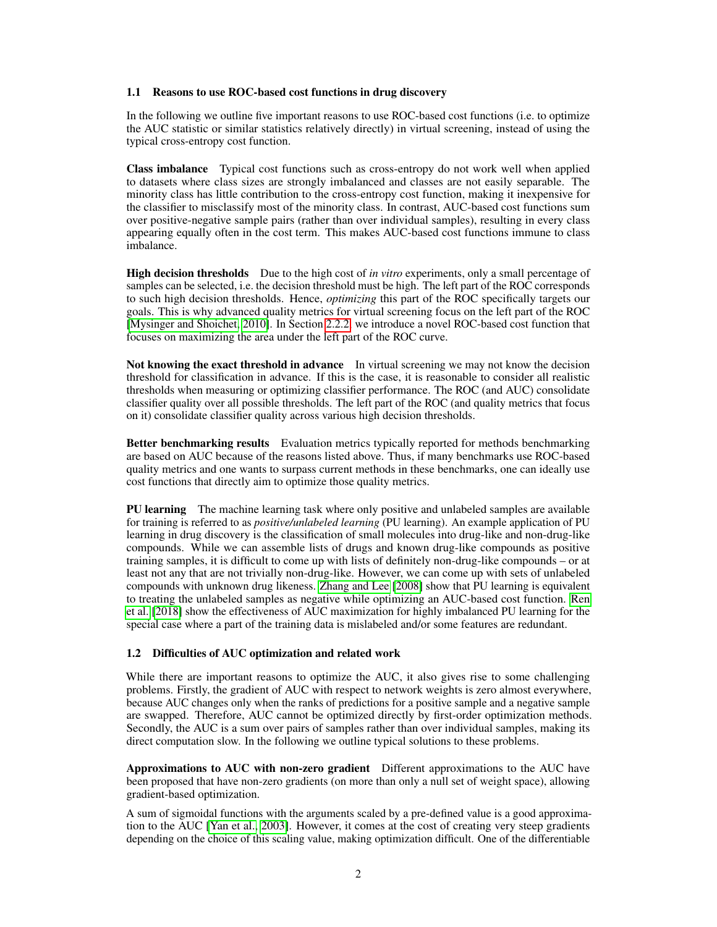#### <span id="page-1-0"></span>1.1 Reasons to use ROC-based cost functions in drug discovery

In the following we outline five important reasons to use ROC-based cost functions (i.e. to optimize the AUC statistic or similar statistics relatively directly) in virtual screening, instead of using the typical cross-entropy cost function.

Class imbalance Typical cost functions such as cross-entropy do not work well when applied to datasets where class sizes are strongly imbalanced and classes are not easily separable. The minority class has little contribution to the cross-entropy cost function, making it inexpensive for the classifier to misclassify most of the minority class. In contrast, AUC-based cost functions sum over positive-negative sample pairs (rather than over individual samples), resulting in every class appearing equally often in the cost term. This makes AUC-based cost functions immune to class imbalance.

High decision thresholds Due to the high cost of *in vitro* experiments, only a small percentage of samples can be selected, i.e. the decision threshold must be high. The left part of the ROC corresponds to such high decision thresholds. Hence, *optimizing* this part of the ROC specifically targets our goals. This is why advanced quality metrics for virtual screening focus on the left part of the ROC [\[Mysinger and Shoichet, 2010\]](#page-9-0). In Section [2.2.2,](#page-4-0) we introduce a novel ROC-based cost function that focuses on maximizing the area under the left part of the ROC curve.

Not knowing the exact threshold in advance In virtual screening we may not know the decision threshold for classification in advance. If this is the case, it is reasonable to consider all realistic thresholds when measuring or optimizing classifier performance. The ROC (and AUC) consolidate classifier quality over all possible thresholds. The left part of the ROC (and quality metrics that focus on it) consolidate classifier quality across various high decision thresholds.

Better benchmarking results Evaluation metrics typically reported for methods benchmarking are based on AUC because of the reasons listed above. Thus, if many benchmarks use ROC-based quality metrics and one wants to surpass current methods in these benchmarks, one can ideally use cost functions that directly aim to optimize those quality metrics.

**PU learning** The machine learning task where only positive and unlabeled samples are available for training is referred to as *positive/unlabeled learning* (PU learning). An example application of PU learning in drug discovery is the classification of small molecules into drug-like and non-drug-like compounds. While we can assemble lists of drugs and known drug-like compounds as positive training samples, it is difficult to come up with lists of definitely non-drug-like compounds – or at least not any that are not trivially non-drug-like. However, we can come up with sets of unlabeled compounds with unknown drug likeness. [Zhang and Lee](#page-9-1) [\[2008\]](#page-9-1) show that PU learning is equivalent to treating the unlabeled samples as negative while optimizing an AUC-based cost function. [Ren](#page-9-2) [et al.](#page-9-2) [\[2018\]](#page-9-2) show the effectiveness of AUC maximization for highly imbalanced PU learning for the special case where a part of the training data is mislabeled and/or some features are redundant.

## 1.2 Difficulties of AUC optimization and related work

While there are important reasons to optimize the AUC, it also gives rise to some challenging problems. Firstly, the gradient of AUC with respect to network weights is zero almost everywhere, because AUC changes only when the ranks of predictions for a positive sample and a negative sample are swapped. Therefore, AUC cannot be optimized directly by first-order optimization methods. Secondly, the AUC is a sum over pairs of samples rather than over individual samples, making its direct computation slow. In the following we outline typical solutions to these problems.

Approximations to AUC with non-zero gradient Different approximations to the AUC have been proposed that have non-zero gradients (on more than only a null set of weight space), allowing gradient-based optimization.

A sum of sigmoidal functions with the arguments scaled by a pre-defined value is a good approximation to the AUC [\[Yan et al., 2003\]](#page-9-3). However, it comes at the cost of creating very steep gradients depending on the choice of this scaling value, making optimization difficult. One of the differentiable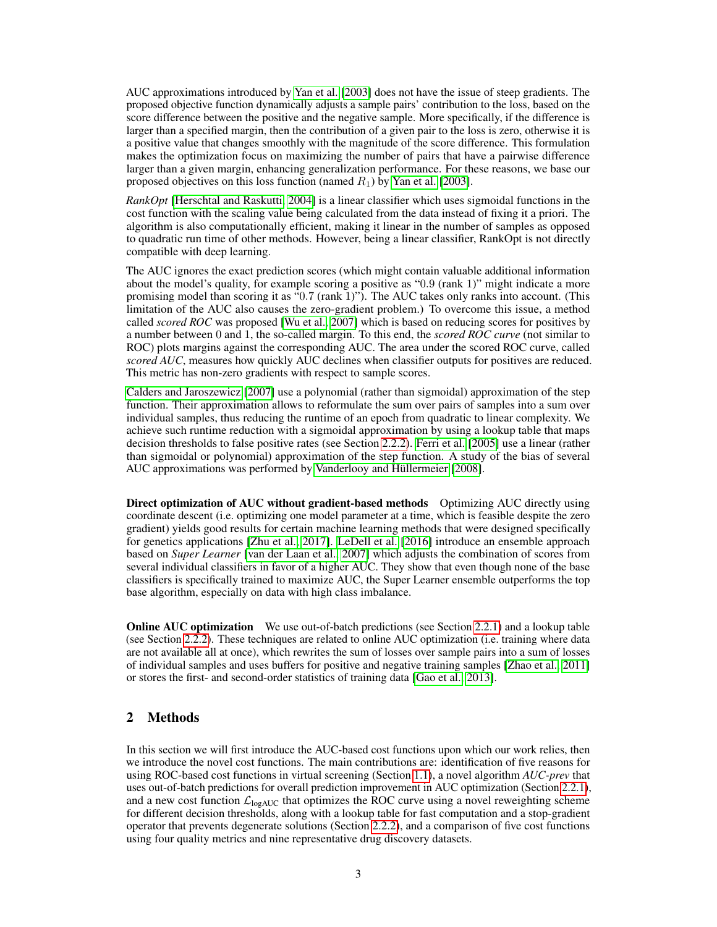AUC approximations introduced by [Yan et al.](#page-9-3) [\[2003\]](#page-9-3) does not have the issue of steep gradients. The proposed objective function dynamically adjusts a sample pairs' contribution to the loss, based on the score difference between the positive and the negative sample. More specifically, if the difference is larger than a specified margin, then the contribution of a given pair to the loss is zero, otherwise it is a positive value that changes smoothly with the magnitude of the score difference. This formulation makes the optimization focus on maximizing the number of pairs that have a pairwise difference larger than a given margin, enhancing generalization performance. For these reasons, we base our proposed objectives on this loss function (named  $R_1$ ) by [Yan et al.](#page-9-3) [\[2003\]](#page-9-3).

*RankOpt* [\[Herschtal and Raskutti, 2004\]](#page-9-4) is a linear classifier which uses sigmoidal functions in the cost function with the scaling value being calculated from the data instead of fixing it a priori. The algorithm is also computationally efficient, making it linear in the number of samples as opposed to quadratic run time of other methods. However, being a linear classifier, RankOpt is not directly compatible with deep learning.

The AUC ignores the exact prediction scores (which might contain valuable additional information about the model's quality, for example scoring a positive as "0.9 (rank 1)" might indicate a more promising model than scoring it as "0.7 (rank 1)"). The AUC takes only ranks into account. (This limitation of the AUC also causes the zero-gradient problem.) To overcome this issue, a method called *scored ROC* was proposed [\[Wu et al., 2007\]](#page-9-5) which is based on reducing scores for positives by a number between 0 and 1, the so-called margin. To this end, the *scored ROC curve* (not similar to ROC) plots margins against the corresponding AUC. The area under the scored ROC curve, called *scored AUC*, measures how quickly AUC declines when classifier outputs for positives are reduced. This metric has non-zero gradients with respect to sample scores.

[Calders and Jaroszewicz](#page-9-6) [\[2007\]](#page-9-6) use a polynomial (rather than sigmoidal) approximation of the step function. Their approximation allows to reformulate the sum over pairs of samples into a sum over individual samples, thus reducing the runtime of an epoch from quadratic to linear complexity. We achieve such runtime reduction with a sigmoidal approximation by using a lookup table that maps decision thresholds to false positive rates (see Section [2.2.2\)](#page-5-0). [Ferri et al.](#page-9-7) [\[2005\]](#page-9-7) use a linear (rather than sigmoidal or polynomial) approximation of the step function. A study of the bias of several AUC approximations was performed by [Vanderlooy and Hüllermeier](#page-9-8) [\[2008\]](#page-9-8).

Direct optimization of AUC without gradient-based methods Optimizing AUC directly using coordinate descent (i.e. optimizing one model parameter at a time, which is feasible despite the zero gradient) yields good results for certain machine learning methods that were designed specifically for genetics applications [\[Zhu et al., 2017\]](#page-9-9). [LeDell et al.](#page-9-10) [\[2016\]](#page-9-10) introduce an ensemble approach based on *Super Learner* [\[van der Laan et al., 2007\]](#page-9-11) which adjusts the combination of scores from several individual classifiers in favor of a higher AUC. They show that even though none of the base classifiers is specifically trained to maximize AUC, the Super Learner ensemble outperforms the top base algorithm, especially on data with high class imbalance.

**Online AUC optimization** We use out-of-batch predictions (see Section [2.2.1\)](#page-3-0) and a lookup table (see Section [2.2.2\)](#page-5-0). These techniques are related to online AUC optimization (i.e. training where data are not available all at once), which rewrites the sum of losses over sample pairs into a sum of losses of individual samples and uses buffers for positive and negative training samples [\[Zhao et al., 2011\]](#page-9-12) or stores the first- and second-order statistics of training data [\[Gao et al., 2013\]](#page-9-13).

# 2 Methods

In this section we will first introduce the AUC-based cost functions upon which our work relies, then we introduce the novel cost functions. The main contributions are: identification of five reasons for using ROC-based cost functions in virtual screening (Section [1.1\)](#page-1-0), a novel algorithm *AUC-prev* that uses out-of-batch predictions for overall prediction improvement in AUC optimization (Section [2.2.1\)](#page-3-0), and a new cost function  $\mathcal{L}_{\text{logAUC}}$  that optimizes the ROC curve using a novel reweighting scheme for different decision thresholds, along with a lookup table for fast computation and a stop-gradient operator that prevents degenerate solutions (Section [2.2.2\)](#page-4-0), and a comparison of five cost functions using four quality metrics and nine representative drug discovery datasets.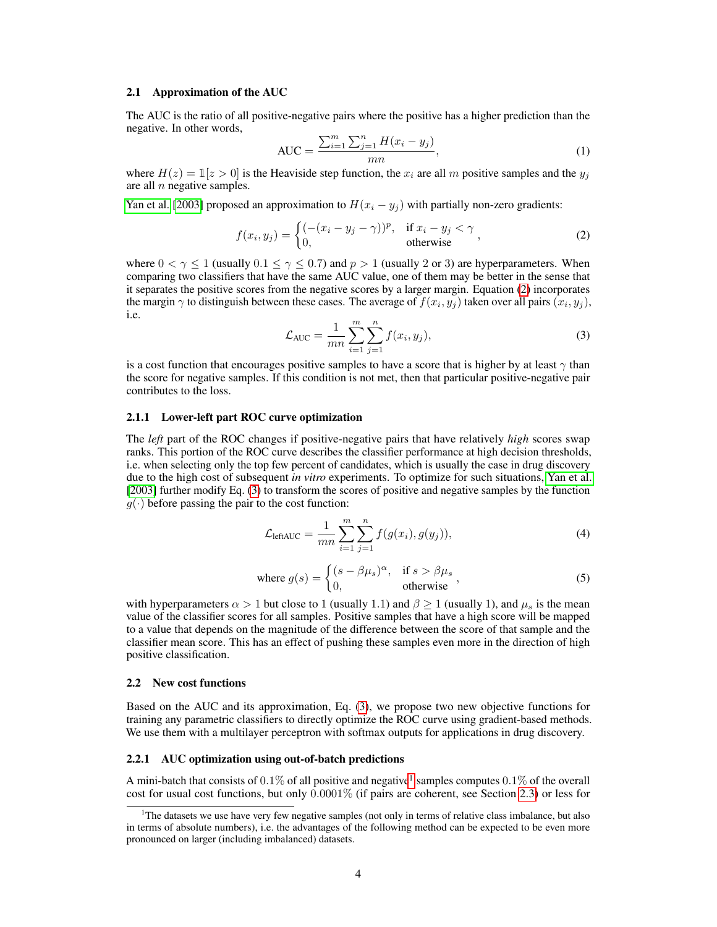#### 2.1 Approximation of the AUC

The AUC is the ratio of all positive-negative pairs where the positive has a higher prediction than the negative. In other words,

<span id="page-3-4"></span><span id="page-3-1"></span>AUC = 
$$
\frac{\sum_{i=1}^{m} \sum_{j=1}^{n} H(x_i - y_j)}{mn}
$$
, (1)

where  $H(z) = \mathbb{I}[z > 0]$  is the Heaviside step function, the  $x_i$  are all m positive samples and the  $y_i$ are all  $n$  negative samples.

[Yan et al.](#page-9-3) [\[2003\]](#page-9-3) proposed an approximation to  $H(x_i - y_j)$  with partially non-zero gradients:

$$
f(x_i, y_j) = \begin{cases} (-(x_i - y_j - \gamma))^p, & \text{if } x_i - y_j < \gamma \\ 0, & \text{otherwise} \end{cases}
$$
 (2)

<span id="page-3-2"></span>where  $0 < \gamma \le 1$  (usually  $0.1 \le \gamma \le 0.7$ ) and  $p > 1$  (usually 2 or 3) are hyperparameters. When comparing two classifiers that have the same AUC value, one of them may be better in the sense that it separates the positive scores from the negative scores by a larger margin. Equation [\(2\)](#page-3-1) incorporates the margin  $\gamma$  to distinguish between these cases. The average of  $f(x_i, y_j)$  taken over all pairs  $(x_i, y_j)$ , i.e.

$$
\mathcal{L}_{AUC} = \frac{1}{mn} \sum_{i=1}^{m} \sum_{j=1}^{n} f(x_i, y_j),
$$
\n(3)

is a cost function that encourages positive samples to have a score that is higher by at least  $\gamma$  than the score for negative samples. If this condition is not met, then that particular positive-negative pair contributes to the loss.

## 2.1.1 Lower-left part ROC curve optimization

The *left* part of the ROC changes if positive-negative pairs that have relatively *high* scores swap ranks. This portion of the ROC curve describes the classifier performance at high decision thresholds, i.e. when selecting only the top few percent of candidates, which is usually the case in drug discovery due to the high cost of subsequent *in vitro* experiments. To optimize for such situations, [Yan et al.](#page-9-3) [\[2003\]](#page-9-3) further modify Eq. [\(3\)](#page-3-2) to transform the scores of positive and negative samples by the function  $g(\cdot)$  before passing the pair to the cost function:

$$
\mathcal{L}_{\text{leftAUC}} = \frac{1}{mn} \sum_{i=1}^{m} \sum_{j=1}^{n} f(g(x_i), g(y_j)),
$$
\n(4)

where 
$$
g(s) = \begin{cases} (s - \beta \mu_s)^\alpha, & \text{if } s > \beta \mu_s \\ 0, & \text{otherwise} \end{cases}
$$
, (5)

with hyperparameters  $\alpha > 1$  but close to 1 (usually 1.1) and  $\beta \ge 1$  (usually 1), and  $\mu_s$  is the mean value of the classifier scores for all samples. Positive samples that have a high score will be mapped to a value that depends on the magnitude of the difference between the score of that sample and the classifier mean score. This has an effect of pushing these samples even more in the direction of high positive classification.

#### 2.2 New cost functions

Based on the AUC and its approximation, Eq. [\(3\)](#page-3-2), we propose two new objective functions for training any parametric classifiers to directly optimize the ROC curve using gradient-based methods. We use them with a multilayer perceptron with softmax outputs for applications in drug discovery.

### <span id="page-3-0"></span>2.2.1 AUC optimization using out-of-batch predictions

A mini-batch that consists of  $0.1\%$  $0.1\%$  $0.1\%$  of all positive and negative<sup>1</sup> samples computes  $0.1\%$  of the overall cost for usual cost functions, but only 0.0001% (if pairs are coherent, see Section [2.3\)](#page-6-0) or less for

<span id="page-3-3"></span> $1<sup>1</sup>$ The datasets we use have very few negative samples (not only in terms of relative class imbalance, but also in terms of absolute numbers), i.e. the advantages of the following method can be expected to be even more pronounced on larger (including imbalanced) datasets.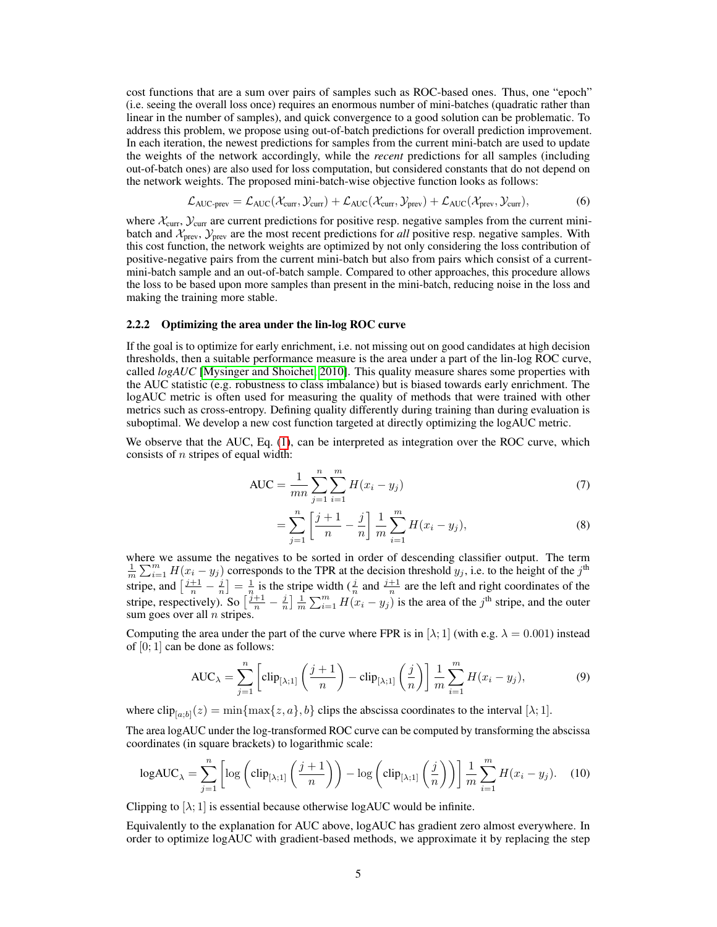cost functions that are a sum over pairs of samples such as ROC-based ones. Thus, one "epoch" (i.e. seeing the overall loss once) requires an enormous number of mini-batches (quadratic rather than linear in the number of samples), and quick convergence to a good solution can be problematic. To address this problem, we propose using out-of-batch predictions for overall prediction improvement. In each iteration, the newest predictions for samples from the current mini-batch are used to update the weights of the network accordingly, while the *recent* predictions for all samples (including out-of-batch ones) are also used for loss computation, but considered constants that do not depend on the network weights. The proposed mini-batch-wise objective function looks as follows:

$$
\mathcal{L}_{AUC\text{-prev}} = \mathcal{L}_{AUC}(\mathcal{X}_{curr}, \mathcal{Y}_{curr}) + \mathcal{L}_{AUC}(\mathcal{X}_{curr}, \mathcal{Y}_{prev}) + \mathcal{L}_{AUC}(\mathcal{X}_{prev}, \mathcal{Y}_{curr}),
$$
(6)

where  $\mathcal{X}_{\text{curr}}$ ,  $\mathcal{Y}_{\text{curr}}$  are current predictions for positive resp. negative samples from the current minibatch and  $\mathcal{X}_{prev}$ ,  $\mathcal{Y}_{prev}$  are the most recent predictions for *all* positive resp. negative samples. With this cost function, the network weights are optimized by not only considering the loss contribution of positive-negative pairs from the current mini-batch but also from pairs which consist of a currentmini-batch sample and an out-of-batch sample. Compared to other approaches, this procedure allows the loss to be based upon more samples than present in the mini-batch, reducing noise in the loss and making the training more stable.

#### <span id="page-4-0"></span>2.2.2 Optimizing the area under the lin-log ROC curve

If the goal is to optimize for early enrichment, i.e. not missing out on good candidates at high decision thresholds, then a suitable performance measure is the area under a part of the lin-log ROC curve, called *logAUC* [\[Mysinger and Shoichet, 2010\]](#page-9-0). This quality measure shares some properties with the AUC statistic (e.g. robustness to class imbalance) but is biased towards early enrichment. The logAUC metric is often used for measuring the quality of methods that were trained with other metrics such as cross-entropy. Defining quality differently during training than during evaluation is suboptimal. We develop a new cost function targeted at directly optimizing the logAUC metric.

We observe that the AUC, Eq. [\(1\)](#page-3-4), can be interpreted as integration over the ROC curve, which consists of  $n$  stripes of equal width:

AUC = 
$$
\frac{1}{mn} \sum_{j=1}^{n} \sum_{i=1}^{m} H(x_i - y_j)
$$
 (7)

<span id="page-4-2"></span>
$$
= \sum_{j=1}^{n} \left[ \frac{j+1}{n} - \frac{j}{n} \right] \frac{1}{m} \sum_{i=1}^{m} H(x_i - y_j), \tag{8}
$$

where we assume the negatives to be sorted in order of descending classifier output. The term  $\frac{1}{m}\sum_{i=1}^{m}H(x_i-y_j)$  corresponds to the TPR at the decision threshold  $y_j$ , i.e. to the height of the j<sup>th</sup> stripe, and  $\left[\frac{j+1}{n}-\frac{j}{n}\right]=\frac{1}{n}$  is the stripe width  $\left(\frac{j}{n}\right)$  and  $\frac{j+1}{n}$  are the left and right coordinates of the stripe, respectively). So  $\left[\frac{j+1}{n} - \frac{j}{n}\right] \frac{1}{m} \sum_{i=1}^{m} H(x_i - y_j)$  is the area of the  $j^{\text{th}}$  stripe, and the outer sum goes over all  $n$  stripes.

Computing the area under the part of the curve where FPR is in [ $\lambda$ ; 1] (with e.g.  $\lambda = 0.001$ ) instead of  $[0; 1]$  can be done as follows:

<span id="page-4-1"></span>
$$
AUC_{\lambda} = \sum_{j=1}^{n} \left[ \text{clip}_{[\lambda;1]} \left( \frac{j+1}{n} \right) - \text{clip}_{[\lambda;1]} \left( \frac{j}{n} \right) \right] \frac{1}{m} \sum_{i=1}^{m} H(x_i - y_j), \tag{9}
$$

where  $\text{clip}_{[a,b]}(z) = \min\{\max\{z,a\},b\}$  clips the abscissa coordinates to the interval  $[\lambda;1]$ .

The area logAUC under the log-transformed ROC curve can be computed by transforming the abscissa coordinates (in square brackets) to logarithmic scale:

$$
\log AUC_{\lambda} = \sum_{j=1}^{n} \left[ \log \left( \text{clip}_{[\lambda;1]} \left( \frac{j+1}{n} \right) \right) - \log \left( \text{clip}_{[\lambda;1]} \left( \frac{j}{n} \right) \right) \right] \frac{1}{m} \sum_{i=1}^{m} H(x_i - y_j). \tag{10}
$$

Clipping to  $[\lambda; 1]$  is essential because otherwise logAUC would be infinite.

Equivalently to the explanation for AUC above, logAUC has gradient zero almost everywhere. In order to optimize logAUC with gradient-based methods, we approximate it by replacing the step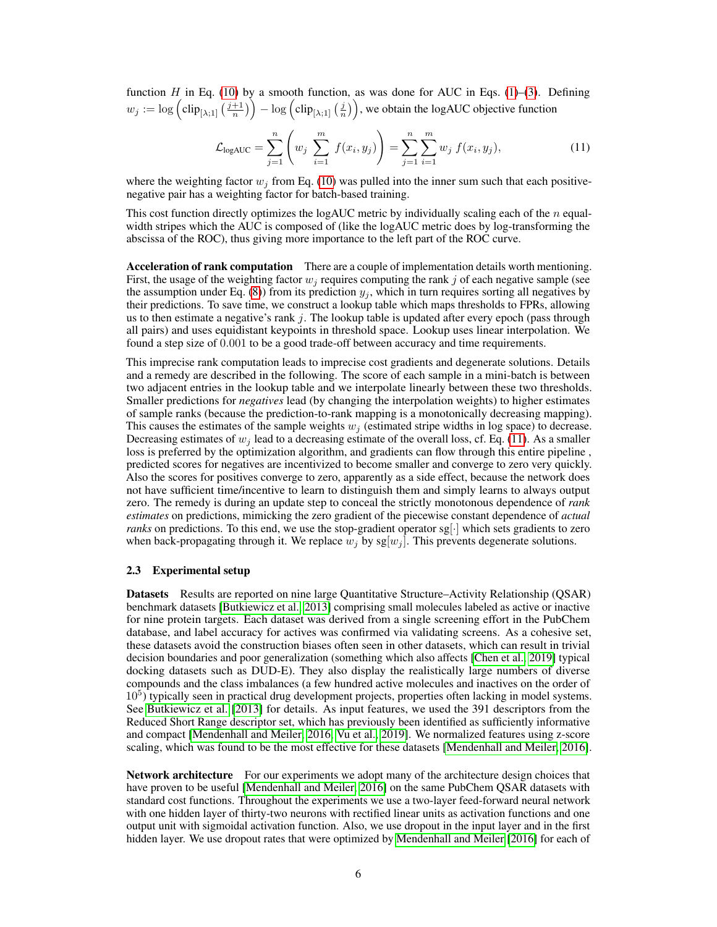function H in Eq. [\(10\)](#page-4-1) by a smooth function, as was done for AUC in Eqs. [\(1\)](#page-3-4)–[\(3\)](#page-3-2). Defining  $w_j := \log \left( \text{clip}_{[\lambda;1]} \left( \frac{j+1}{n} \right) \right) - \log \left( \text{clip}_{[\lambda;1]} \left( \frac{j}{n} \right) \right)$ , we obtain the logAUC objective function

<span id="page-5-1"></span>
$$
\mathcal{L}_{\text{logAUC}} = \sum_{j=1}^{n} \left( w_j \sum_{i=1}^{m} f(x_i, y_j) \right) = \sum_{j=1}^{n} \sum_{i=1}^{m} w_j f(x_i, y_j), \tag{11}
$$

where the weighting factor  $w_i$  from Eq. [\(10\)](#page-4-1) was pulled into the inner sum such that each positivenegative pair has a weighting factor for batch-based training.

This cost function directly optimizes the logAUC metric by individually scaling each of the  $n$  equalwidth stripes which the AUC is composed of (like the logAUC metric does by log-transforming the abscissa of the ROC), thus giving more importance to the left part of the ROC curve.

<span id="page-5-0"></span>Acceleration of rank computation There are a couple of implementation details worth mentioning. First, the usage of the weighting factor  $w_j$  requires computing the rank j of each negative sample (see the assumption under Eq. [\(8\)](#page-4-2)) from its prediction  $y_i$ , which in turn requires sorting all negatives by their predictions. To save time, we construct a lookup table which maps thresholds to FPRs, allowing us to then estimate a negative's rank  $j$ . The lookup table is updated after every epoch (pass through all pairs) and uses equidistant keypoints in threshold space. Lookup uses linear interpolation. We found a step size of 0.001 to be a good trade-off between accuracy and time requirements.

This imprecise rank computation leads to imprecise cost gradients and degenerate solutions. Details and a remedy are described in the following. The score of each sample in a mini-batch is between two adjacent entries in the lookup table and we interpolate linearly between these two thresholds. Smaller predictions for *negatives* lead (by changing the interpolation weights) to higher estimates of sample ranks (because the prediction-to-rank mapping is a monotonically decreasing mapping). This causes the estimates of the sample weights  $w_i$  (estimated stripe widths in log space) to decrease. Decreasing estimates of  $w_i$  lead to a decreasing estimate of the overall loss, cf. Eq. [\(11\)](#page-5-1). As a smaller loss is preferred by the optimization algorithm, and gradients can flow through this entire pipeline , predicted scores for negatives are incentivized to become smaller and converge to zero very quickly. Also the scores for positives converge to zero, apparently as a side effect, because the network does not have sufficient time/incentive to learn to distinguish them and simply learns to always output zero. The remedy is during an update step to conceal the strictly monotonous dependence of *rank estimates* on predictions, mimicking the zero gradient of the piecewise constant dependence of *actual ranks* on predictions. To this end, we use the stop-gradient operator sg. which sets gradients to zero when back-propagating through it. We replace  $w_i$  by sg[ $w_i$ ]. This prevents degenerate solutions.

#### 2.3 Experimental setup

Datasets Results are reported on nine large Quantitative Structure–Activity Relationship (QSAR) benchmark datasets [\[Butkiewicz et al., 2013\]](#page-8-0) comprising small molecules labeled as active or inactive for nine protein targets. Each dataset was derived from a single screening effort in the PubChem database, and label accuracy for actives was confirmed via validating screens. As a cohesive set, these datasets avoid the construction biases often seen in other datasets, which can result in trivial decision boundaries and poor generalization (something which also affects [\[Chen et al., 2019\]](#page-9-14) typical docking datasets such as DUD-E). They also display the realistically large numbers of diverse compounds and the class imbalances (a few hundred active molecules and inactives on the order of 10<sup>5</sup>) typically seen in practical drug development projects, properties often lacking in model systems. See [Butkiewicz et al.](#page-8-0) [\[2013\]](#page-8-0) for details. As input features, we used the 391 descriptors from the Reduced Short Range descriptor set, which has previously been identified as sufficiently informative and compact [\[Mendenhall and Meiler, 2016,](#page-9-15) [Vu et al., 2019\]](#page-9-16). We normalized features using z-score scaling, which was found to be the most effective for these datasets [\[Mendenhall and Meiler, 2016\]](#page-9-15).

Network architecture For our experiments we adopt many of the architecture design choices that have proven to be useful [\[Mendenhall and Meiler, 2016\]](#page-9-15) on the same PubChem QSAR datasets with standard cost functions. Throughout the experiments we use a two-layer feed-forward neural network with one hidden layer of thirty-two neurons with rectified linear units as activation functions and one output unit with sigmoidal activation function. Also, we use dropout in the input layer and in the first hidden layer. We use dropout rates that were optimized by [Mendenhall and Meiler](#page-9-15) [\[2016\]](#page-9-15) for each of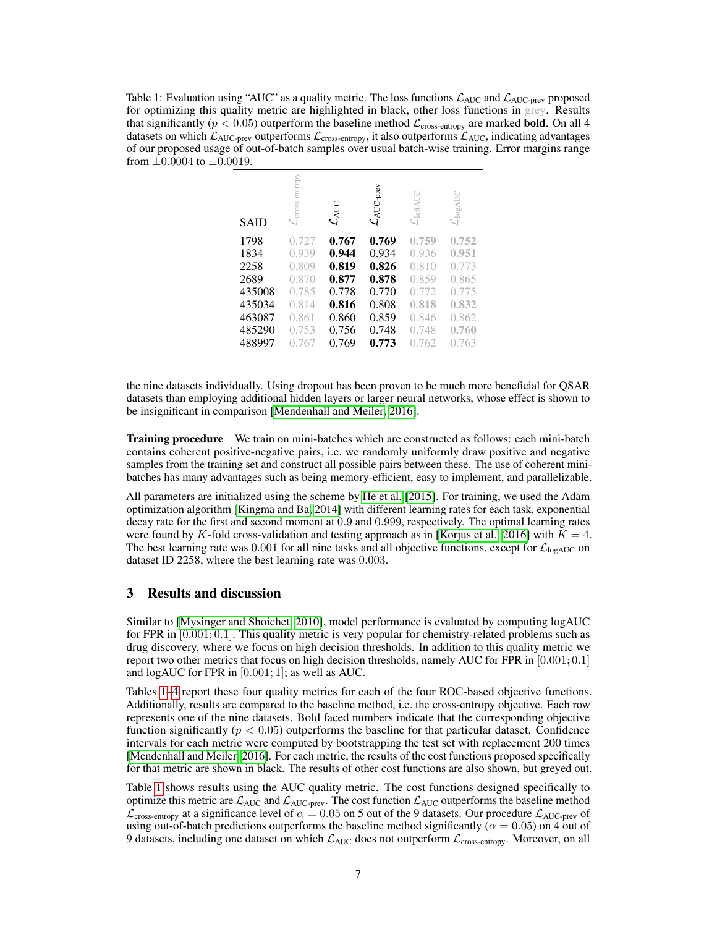<span id="page-6-1"></span>Table 1: Evaluation using "AUC" as a quality metric. The loss functions  $\mathcal{L}_{AUC}$  and  $\mathcal{L}_{AUC-prev}$  proposed for optimizing this quality metric are highlighted in black, other loss functions in grey. Results that significantly ( $p < 0.05$ ) outperform the baseline method  $\mathcal{L}_{cross\text{-entropy}}$  are marked **bold**. On all 4 datasets on which  $\mathcal{L}_{AUC\text{-prev}}$  outperforms  $\mathcal{L}_{cross\text{-entropy}}$ , it also outperforms  $\mathcal{L}_{AUC}$ , indicating advantages of our proposed usage of out-of-batch samples over usual batch-wise training. Error margins range from  $\pm 0.0004$  to  $\pm 0.0019$ .

| <b>SAID</b> | $\mathcal{L}_{\text{cross-entropy}}$ | $\mathcal{L}_{\text{AUC}}$ | $\mathcal{L}_{\text{AUC-prev}}$ | $\mathcal{L}_{\text{leftAUC}}$ | $\mathcal{L}_\textnormal{logAUC}$ |
|-------------|--------------------------------------|----------------------------|---------------------------------|--------------------------------|-----------------------------------|
| 1798        | 0.727                                | 0.767                      | 0.769                           | 0.759                          | 0.752                             |
| 1834        | 0.939                                | 0.944                      | 0.934                           | 0.936                          | 0.951                             |
| 2258        | 0.809                                | 0.819                      | 0.826                           | 0.810                          | 0.773                             |
| 2689        | 0.870                                | 0.877                      | 0.878                           | 0.859                          | 0.865                             |
| 435008      | 0.785                                | 0.778                      | 0.770                           | 0.772                          | 0.775                             |
| 435034      | 0.814                                | 0.816                      | 0.808                           | 0.818                          | 0.832                             |
| 463087      | 0.861                                | 0.860                      | 0.859                           | 0.846                          | 0.862                             |
| 485290      | 0.753                                | 0.756                      | 0.748                           | 0.748                          | 0.760                             |
| 488997      | 0.767                                | 0.769                      | 0.773                           | 0.762                          | 0.763                             |

the nine datasets individually. Using dropout has been proven to be much more beneficial for QSAR datasets than employing additional hidden layers or larger neural networks, whose effect is shown to be insignificant in comparison [\[Mendenhall and Meiler, 2016\]](#page-9-15).

<span id="page-6-0"></span>**Training procedure** We train on mini-batches which are constructed as follows: each mini-batch contains coherent positive-negative pairs, i.e. we randomly uniformly draw positive and negative samples from the training set and construct all possible pairs between these. The use of coherent minibatches has many advantages such as being memory-efficient, easy to implement, and parallelizable.

All parameters are initialized using the scheme by [He et al.](#page-9-17) [\[2015\]](#page-9-17). For training, we used the Adam optimization algorithm [\[Kingma and Ba, 2014\]](#page-9-18) with different learning rates for each task, exponential decay rate for the first and second moment at 0.9 and 0.999, respectively. The optimal learning rates were found by K-fold cross-validation and testing approach as in [\[Korjus et al., 2016\]](#page-9-19) with  $K = 4$ . The best learning rate was 0.001 for all nine tasks and all objective functions, except for  $\mathcal{L}_{log AUC}$  on dataset ID 2258, where the best learning rate was 0.003.

# 3 Results and discussion

Similar to [\[Mysinger and Shoichet, 2010\]](#page-9-0), model performance is evaluated by computing logAUC for FPR in  $[0.001; 0.1]$ . This quality metric is very popular for chemistry-related problems such as drug discovery, where we focus on high decision thresholds. In addition to this quality metric we report two other metrics that focus on high decision thresholds, namely AUC for FPR in  $[0.001; 0.1]$ and logAUC for FPR in [0.001; 1]; as well as AUC.

Tables [1](#page-6-1)[–4](#page-8-1) report these four quality metrics for each of the four ROC-based objective functions. Additionally, results are compared to the baseline method, i.e. the cross-entropy objective. Each row represents one of the nine datasets. Bold faced numbers indicate that the corresponding objective function significantly ( $p < 0.05$ ) outperforms the baseline for that particular dataset. Confidence intervals for each metric were computed by bootstrapping the test set with replacement 200 times [\[Mendenhall and Meiler, 2016\]](#page-9-15). For each metric, the results of the cost functions proposed specifically for that metric are shown in black. The results of other cost functions are also shown, but greyed out.

Table [1](#page-6-1) shows results using the AUC quality metric. The cost functions designed specifically to optimize this metric are  $\mathcal{L}_{AUC}$  and  $\mathcal{L}_{AUC\text{-prev}}$ . The cost function  $\mathcal{L}_{AUC}$  outperforms the baseline method  $\mathcal{L}_{cross\text{-entropy}}$  at a significance level of  $\alpha = 0.05$  on 5 out of the 9 datasets. Our procedure  $\mathcal{L}_{AUC\text{-}prev}$  of using out-of-batch predictions outperforms the baseline method significantly ( $\alpha = 0.05$ ) on 4 out of 9 datasets, including one dataset on which  $\mathcal{L}_{AUC}$  does not outperform  $\mathcal{L}_{cross\text{-entropy}}$ . Moreover, on all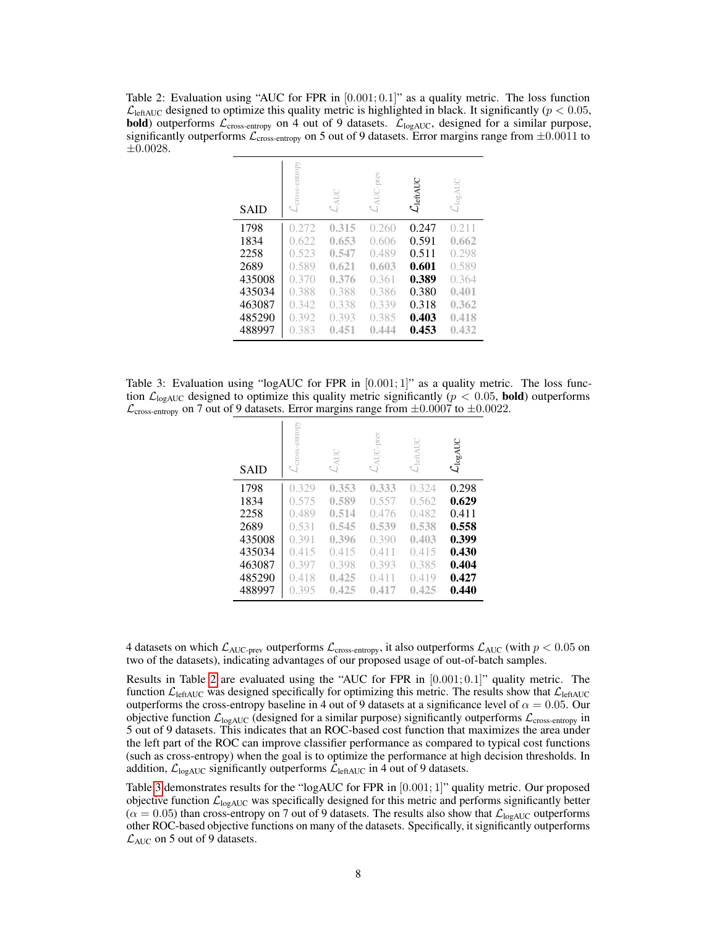<span id="page-7-0"></span>Table 2: Evaluation using "AUC for FPR in  $[0.001; 0.1]$ " as a quality metric. The loss function  $\mathcal{L}_{\text{leftAUC}}$  designed to optimize this quality metric is highlighted in black. It significantly ( $p < 0.05$ , **bold**) outperforms  $\mathcal{L}_{cross\text{-entropy}}$  on 4 out of 9 datasets.  $\mathcal{L}_{logAUC}$ , designed for a similar purpose, significantly outperforms  $\mathcal{L}_{cross\text{-entropy}}$  on 5 out of 9 datasets. Error margins range from  $\pm 0.0011$  to ±0.0028.

| <b>SAID</b> | $\mathcal{L}_{\text{cross-entropy}}$ | $\mathcal{L}_{\text{AUC}}$ | $\mathcal{L}_{\text{AUC-prev}}$ | $\mathcal{L}_{\text{leftAUC}}$ | $\mathcal{L}_\textnormal{logAUC}$ |
|-------------|--------------------------------------|----------------------------|---------------------------------|--------------------------------|-----------------------------------|
| 1798        | 0.272                                | 0.315                      | 0.260                           | 0.247                          | 0.211                             |
| 1834        | 0.622                                | 0.653                      | 0.606                           | 0.591                          | 0.662                             |
| 2258        | 0.523                                | 0.547                      | 0.489                           | 0.511                          | 0.298                             |
| 2689        | 0.589                                | 0.621                      | 0.603                           | 0.601                          | 0.589                             |
| 435008      | 0.370                                | 0.376                      | 0.361                           | 0.389                          | 0.364                             |
| 435034      | 0.388                                | 0.388                      | 0.386                           | 0.380                          | 0.401                             |
| 463087      | 0.342                                | 0.338                      | 0.339                           | 0.318                          | 0.362                             |
| 485290      | 0.392                                | 0.393                      | 0.385                           | 0.403                          | 0.418                             |
| 488997      | 0.383                                | 0.451                      | 0.444                           | 0.453                          | 0.432                             |

<span id="page-7-1"></span>Table 3: Evaluation using "logAUC for FPR in [0.001; 1]" as a quality metric. The loss function  $\mathcal{L}_{\text{logAUC}}$  designed to optimize this quality metric significantly ( $p < 0.05$ , **bold**) outperforms  $\mathcal{L}_{cross-entropy}$  on 7 out of 9 datasets. Error margins range from  $\pm 0.0007$  to  $\pm 0.0022$ .

| <b>SAID</b> | -cross-entropy | $\mathcal{L}_{\text{AUC}}$ | $\mathcal{L}_{\text{AUC-prev}}$ | $\mathcal{L}_{\text{leftAUC}}$ | $\mathcal{L}_{\text{logAUC}}$ |
|-------------|----------------|----------------------------|---------------------------------|--------------------------------|-------------------------------|
| 1798        | 0.329          | 0.353                      | 0.333                           | 0.324                          | 0.298                         |
| 1834        | 0.575          | 0.589                      | 0.557                           | 0.562                          | 0.629                         |
| 2258        | 0.489          | 0.514                      | 0.476                           | 0.482                          | 0.411                         |
| 2689        | 0.531          | 0.545                      | 0.539                           | 0.538                          | 0.558                         |
| 435008      | 0.391          | 0.396                      | 0.390                           | 0.403                          | 0.399                         |
| 435034      | 0.415          | 0.415                      | 0.411                           | 0.415                          | 0.430                         |
| 463087      | 0.397          | 0.398                      | 0.393                           | 0.385                          | 0.404                         |
| 485290      | 0.418          | 0.425                      | 0.411                           | 0.419                          | 0.427                         |
| 488997      | 0.395          | 0.425                      | 0.417                           | 0.425                          | 0.440                         |

4 datasets on which  $\mathcal{L}_{AUC\text{-prev}}$  outperforms  $\mathcal{L}_{cross\text{-entropy}}$ , it also outperforms  $\mathcal{L}_{AUC}$  (with  $p < 0.05$  on two of the datasets), indicating advantages of our proposed usage of out-of-batch samples.

Results in Table [2](#page-7-0) are evaluated using the "AUC for FPR in [0.001; 0.1]" quality metric. The function  $\mathcal{L}_{\text{leftAUC}}$  was designed specifically for optimizing this metric. The results show that  $\mathcal{L}_{\text{leftAUC}}$ outperforms the cross-entropy baseline in 4 out of 9 datasets at a significance level of  $\alpha = 0.05$ . Our objective function  $\mathcal{L}_{\text{logAUC}}$  (designed for a similar purpose) significantly outperforms  $\mathcal{L}_{\text{cross-entropy}}$  in 5 out of 9 datasets. This indicates that an ROC-based cost function that maximizes the area under the left part of the ROC can improve classifier performance as compared to typical cost functions (such as cross-entropy) when the goal is to optimize the performance at high decision thresholds. In addition,  $\mathcal{L}_{log AUC}$  significantly outperforms  $\mathcal{L}_{left AUC}$  in 4 out of 9 datasets.

Table [3](#page-7-1) demonstrates results for the "logAUC for FPR in [0.001; 1]" quality metric. Our proposed objective function  $\mathcal{L}_{\text{logAUC}}$  was specifically designed for this metric and performs significantly better  $(\alpha = 0.05)$  than cross-entropy on 7 out of 9 datasets. The results also show that  $\mathcal{L}_{logAUC}$  outperforms other ROC-based objective functions on many of the datasets. Specifically, it significantly outperforms  $\mathcal{L}_{\text{AUC}}$  on 5 out of 9 datasets.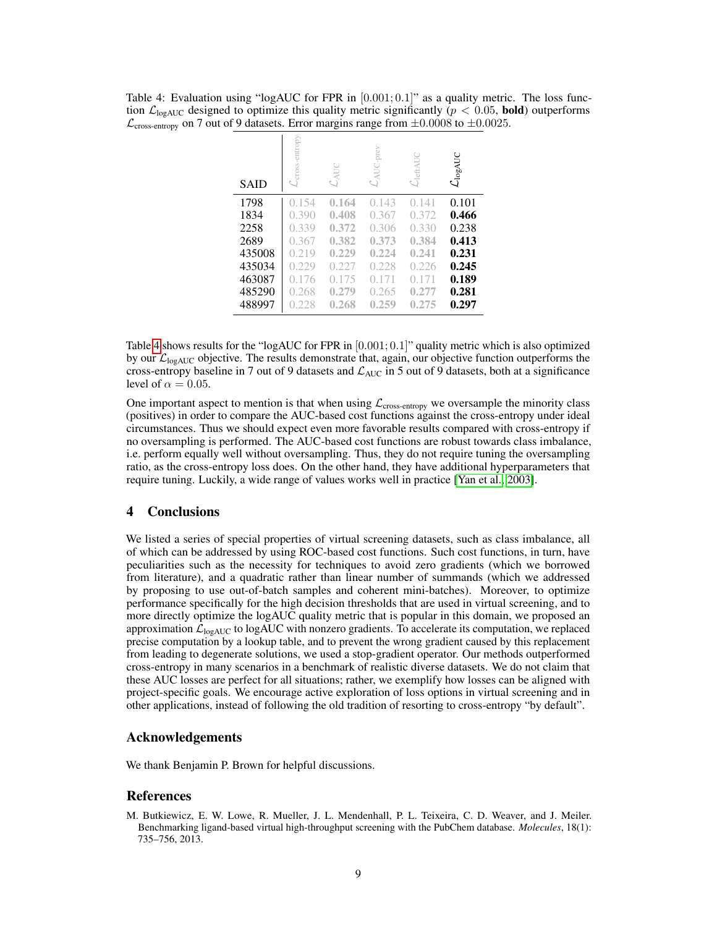<span id="page-8-1"></span>Table 4: Evaluation using "logAUC for FPR in  $[0.001; 0.1]$ " as a quality metric. The loss function  $\mathcal{L}_{\text{logAUC}}$  designed to optimize this quality metric significantly ( $p < 0.05$ , **bold**) outperforms  $\mathcal{L}_{cross-entropy}$  on 7 out of 9 datasets. Error margins range from  $\pm 0.0008$  to  $\pm 0.0025$ .

| <b>SAID</b> | opy<br>entr<br>cross- | $\mathcal{L}_{\text{AUC}}$ | prev<br>ă | ~leftAUC | $\mathcal{L}_\text{logAUC}$ |
|-------------|-----------------------|----------------------------|-----------|----------|-----------------------------|
| 1798        | 0.154                 | 0.164                      | 0.143     | 0.141    | 0.101                       |
| 1834        | 0.390                 | 0.408                      | 0.367     | 0.372    | 0.466                       |
| 2258        | 0.339                 | 0.372                      | 0.306     | 0.330    | 0.238                       |
| 2689        | 0.367                 | 0.382                      | 0.373     | 0.384    | 0.413                       |
| 435008      | 0.219                 | 0.229                      | 0.224     | 0.241    | 0.231                       |
| 435034      | 0.229                 | 0.227                      | 0.228     | 0.226    | 0.245                       |
| 463087      | (0.176)               | 0.175                      | 0.171     | 0.171    | 0.189                       |
| 485290      | 0.268                 | 0.279                      | 0.265     | 0.277    | 0.281                       |
| 488997      | 0.228                 | 0.268                      | 0.259     | 0.275    | 0.297                       |

Table [4](#page-8-1) shows results for the "logAUC for FPR in  $[0.001; 0.1]$ " quality metric which is also optimized by our  $\mathcal{L}_{\text{logAUC}}$  objective. The results demonstrate that, again, our objective function outperforms the cross-entropy baseline in 7 out of 9 datasets and  $\mathcal{L}_{AUC}$  in 5 out of 9 datasets, both at a significance level of  $\alpha = 0.05$ .

One important aspect to mention is that when using  $\mathcal{L}_{cross-entropy}$  we oversample the minority class (positives) in order to compare the AUC-based cost functions against the cross-entropy under ideal circumstances. Thus we should expect even more favorable results compared with cross-entropy if no oversampling is performed. The AUC-based cost functions are robust towards class imbalance, i.e. perform equally well without oversampling. Thus, they do not require tuning the oversampling ratio, as the cross-entropy loss does. On the other hand, they have additional hyperparameters that require tuning. Luckily, a wide range of values works well in practice [\[Yan et al., 2003\]](#page-9-3).

# 4 Conclusions

We listed a series of special properties of virtual screening datasets, such as class imbalance, all of which can be addressed by using ROC-based cost functions. Such cost functions, in turn, have peculiarities such as the necessity for techniques to avoid zero gradients (which we borrowed from literature), and a quadratic rather than linear number of summands (which we addressed by proposing to use out-of-batch samples and coherent mini-batches). Moreover, to optimize performance specifically for the high decision thresholds that are used in virtual screening, and to more directly optimize the logAUC quality metric that is popular in this domain, we proposed an approximation  $\mathcal{L}_{\text{logAUC}}$  to logAUC with nonzero gradients. To accelerate its computation, we replaced precise computation by a lookup table, and to prevent the wrong gradient caused by this replacement from leading to degenerate solutions, we used a stop-gradient operator. Our methods outperformed cross-entropy in many scenarios in a benchmark of realistic diverse datasets. We do not claim that these AUC losses are perfect for all situations; rather, we exemplify how losses can be aligned with project-specific goals. We encourage active exploration of loss options in virtual screening and in other applications, instead of following the old tradition of resorting to cross-entropy "by default".

# Acknowledgements

We thank Benjamin P. Brown for helpful discussions.

## References

<span id="page-8-0"></span>M. Butkiewicz, E. W. Lowe, R. Mueller, J. L. Mendenhall, P. L. Teixeira, C. D. Weaver, and J. Meiler. Benchmarking ligand-based virtual high-throughput screening with the PubChem database. *Molecules*, 18(1): 735–756, 2013.